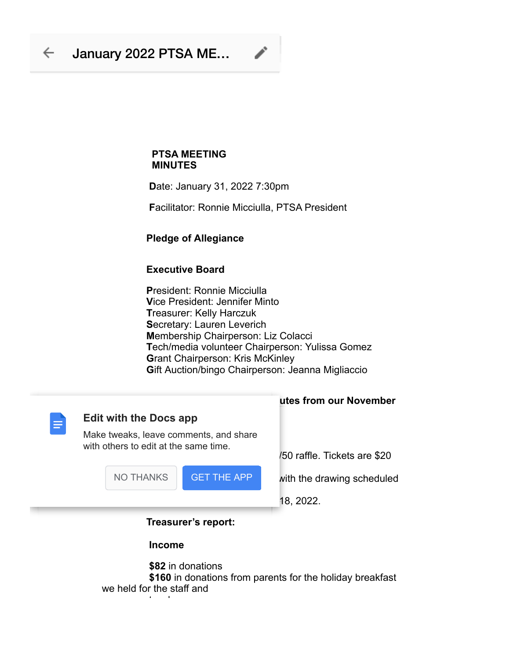# **PTSA MEETING MINUTES**

 **D**ate: January 31, 2022 7:30pm

**F**acilitator: Ronnie Micciulla, PTSA President

## **Pledge of Allegiance**

## **Executive Board**

 **P**resident: Ronnie Micciulla  **V**ice President: Jennifer Minto  **T**reasurer: Kelly Harczuk  **S**ecretary: Lauren Leverich  **M**embership Chairperson: Liz Colacci  **T**ech/media volunteer Chairperson: Yulissa Gomez **G**rant Chairperson: Kris McKinley **Gift Auction/bingo Chairperson: Jeanna Migliaccio** 



 **\$160** in donations from parents for the holiday breakfast we held for the staff and  *<b>teachers* 

### **utes from our November**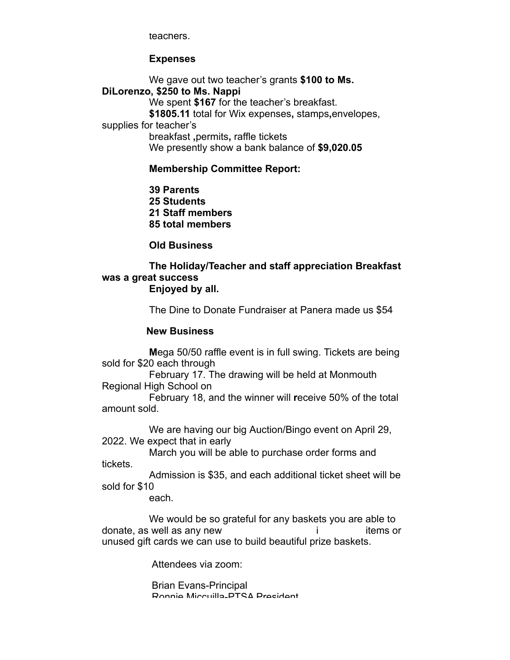teachers.

 **Expenses**

We gave out two teacher's grants **\$100 to Ms. DiLorenzo, \$250 to Ms. Nappi** We spent **\$167** for the teacher's breakfast.  **\$1805.11** total for Wix expenses**,** stamps**,**envelopes, supplies for teacher's breakfast **,**permits**,** raffle tickets We presently show a bank balance of **\$9,020.05 Membership Committee Report:**

 **39 Parents**

 **25 Students 21 Staff members 85 total members**

 **Old Business**

#### **The Holiday/Teacher and staff appreciation Breakfast was a great success Enjoyed by all.**

The Dine to Donate Fundraiser at Panera made us \$54

### **New Business**

 **M**ega 50/50 raffle event is in full swing. Tickets are being sold for \$20 each through

 February 17. The drawing will be held at Monmouth Regional High School on

February 18, and the winner will **r**eceive 50% of the total amount sold.

 We are having our big Auction/Bingo event on April 29, 2022. We expect that in early

 March you will be able to purchase order forms and tickets.

Admission is \$35, and each additional ticket sheet will be sold for \$10

each.

We would be so grateful for any baskets you are able to donate, as well as any new interest in the same of the set of the set of the set of the set of the set of the s unused gift cards we can use to build beautiful prize baskets.

Attendees via zoom:

 Brian Evans-Principal Ronnie Miccuilla-PTSA President